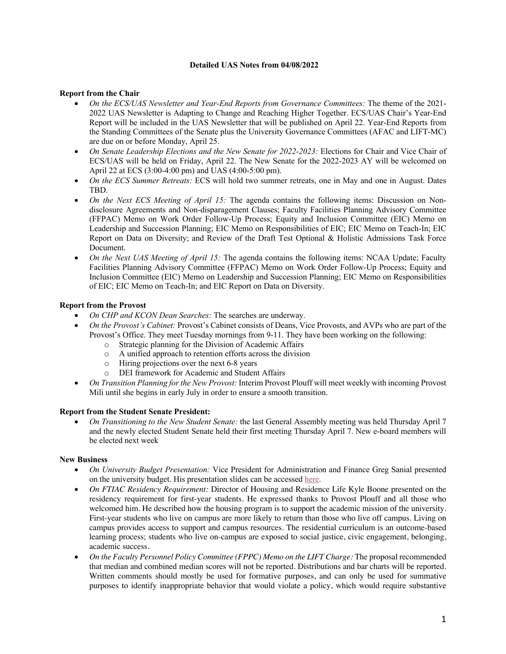## **Detailed UAS Notes from 04/08/2022**

# **Report from the Chair**

- *On the ECS/UAS Newsletter and Year-End Reports from Governance Committees:* The theme of the 2021- 2022 UAS Newsletter is Adapting to Change and Reaching Higher Together. ECS/UAS Chair's Year-End Report will be included in the UAS Newsletter that will be published on April 22. Year-End Reports from the Standing Committees of the Senate plus the University Governance Committees (AFAC and LIFT-MC) are due on or before Monday, April 25.
- *On Senate Leadership Elections and the New Senate for 2022-2023:* Elections for Chair and Vice Chair of ECS/UAS will be held on Friday, April 22. The New Senate for the 2022-2023 AY will be welcomed on April 22 at ECS (3:00-4:00 pm) and UAS (4:00-5:00 pm).
- *On the ECS Summer Retreats:* ECS will hold two summer retreats, one in May and one in August. Dates TBD.
- *On the Next ECS Meeting of April 15:* The agenda contains the following items: Discussion on Nondisclosure Agreements and Non-disparagement Clauses; Faculty Facilities Planning Advisory Committee (FFPAC) Memo on Work Order Follow-Up Process; Equity and Inclusion Committee (EIC) Memo on Leadership and Succession Planning; EIC Memo on Responsibilities of EIC; EIC Memo on Teach-In; EIC Report on Data on Diversity; and Review of the Draft Test Optional & Holistic Admissions Task Force Document.
- *On the Next UAS Meeting of April 15:* The agenda contains the following items: NCAA Update; Faculty Facilities Planning Advisory Committee (FFPAC) Memo on Work Order Follow-Up Process; Equity and Inclusion Committee (EIC) Memo on Leadership and Succession Planning; EIC Memo on Responsibilities of EIC; EIC Memo on Teach-In; and EIC Report on Data on Diversity.

## **Report from the Provost**

- *On CHP and KCON Dean Searches:* The searches are underway.
- *On the Provost's Cabinet:* Provost's Cabinet consists of Deans, Vice Provosts, and AVPs who are part of the Provost's Office. They meet Tuesday mornings from 9-11. They have been working on the following:
	- o Strategic planning for the Division of Academic Affairs
	- o A unified approach to retention efforts across the division
	- o Hiring projections over the next 6-8 years
	- o DEI framework for Academic and Student Affairs
- *On Transition Planning for the New Provost:* Interim Provost Plouff will meet weekly with incoming Provost Mili until she begins in early July in order to ensure a smooth transition.

### **Report from the Student Senate President:**

• *On Transitioning to the New Student Senate:* the last General Assembly meeting was held Thursday April 7 and the newly elected Student Senate held their first meeting Thursday April 7. New e-board members will be elected next week

### **New Business**

- *On University Budget Presentation:* Vice President for Administration and Finance Greg Sanial presented on the university budget. His presentation slides can be accessed here.
- *On FTIAC Residency Requirement:* Director of Housing and Residence Life Kyle Boone presented on the residency requirement for first-year students. He expressed thanks to Provost Plouff and all those who welcomed him. He described how the housing program is to support the academic mission of the university. First-year students who live on campus are more likely to return than those who live off campus. Living on campus provides access to support and campus resources. The residential curriculum is an outcome-based learning process; students who live on-campus are exposed to social justice, civic engagement, belonging, academic success.
- *On the Faculty Personnel Policy Committee (FPPC) Memo on the LIFT Charge:* The proposal recommended that median and combined median scores will not be reported. Distributions and bar charts will be reported. Written comments should mostly be used for formative purposes, and can only be used for summative purposes to identify inappropriate behavior that would violate a policy, which would require substantive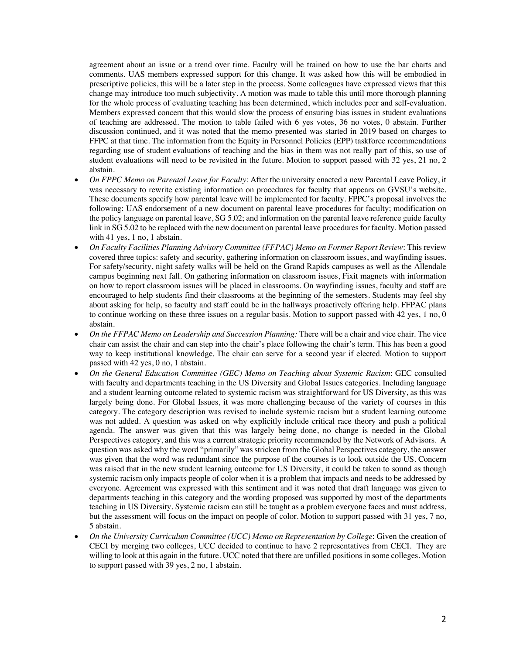agreement about an issue or a trend over time. Faculty will be trained on how to use the bar charts and comments. UAS members expressed support for this change. It was asked how this will be embodied in prescriptive policies, this will be a later step in the process. Some colleagues have expressed views that this change may introduce too much subjectivity. A motion was made to table this until more thorough planning for the whole process of evaluating teaching has been determined, which includes peer and self-evaluation. Members expressed concern that this would slow the process of ensuring bias issues in student evaluations of teaching are addressed. The motion to table failed with 6 yes votes, 36 no votes, 0 abstain. Further discussion continued, and it was noted that the memo presented was started in 2019 based on charges to FFPC at that time. The information from the Equity in Personnel Policies (EPP) taskforce recommendations regarding use of student evaluations of teaching and the bias in them was not really part of this, so use of student evaluations will need to be revisited in the future. Motion to support passed with 32 yes, 21 no, 2 abstain.

- *On FPPC Memo on Parental Leave for Faculty*: After the university enacted a new Parental Leave Policy, it was necessary to rewrite existing information on procedures for faculty that appears on GVSU's website. These documents specify how parental leave will be implemented for faculty. FPPC's proposal involves the following: UAS endorsement of a new document on parental leave procedures for faculty; modification on the policy language on parental leave, SG 5.02; and information on the parental leave reference guide faculty link in SG 5.02 to be replaced with the new document on parental leave procedures for faculty. Motion passed with 41 yes, 1 no, 1 abstain.
- *On Faculty Facilities Planning Advisory Committee (FFPAC) Memo on Former Report Review*: This review covered three topics: safety and security, gathering information on classroom issues, and wayfinding issues. For safety/security, night safety walks will be held on the Grand Rapids campuses as well as the Allendale campus beginning next fall. On gathering information on classroom issues, Fixit magnets with information on how to report classroom issues will be placed in classrooms. On wayfinding issues, faculty and staff are encouraged to help students find their classrooms at the beginning of the semesters. Students may feel shy about asking for help, so faculty and staff could be in the hallways proactively offering help. FFPAC plans to continue working on these three issues on a regular basis. Motion to support passed with 42 yes, 1 no, 0 abstain.
- *On the FFPAC Memo on Leadership and Succession Planning:* There will be a chair and vice chair. The vice chair can assist the chair and can step into the chair's place following the chair's term. This has been a good way to keep institutional knowledge. The chair can serve for a second year if elected. Motion to support passed with 42 yes, 0 no, 1 abstain.
- *On the General Education Committee (GEC) Memo on Teaching about Systemic Racism*: GEC consulted with faculty and departments teaching in the US Diversity and Global Issues categories. Including language and a student learning outcome related to systemic racism was straightforward for US Diversity, as this was largely being done. For Global Issues, it was more challenging because of the variety of courses in this category. The category description was revised to include systemic racism but a student learning outcome was not added. A question was asked on why explicitly include critical race theory and push a political agenda. The answer was given that this was largely being done, no change is needed in the Global Perspectives category, and this was a current strategic priority recommended by the Network of Advisors. A question was asked why the word "primarily" was stricken from the Global Perspectives category, the answer was given that the word was redundant since the purpose of the courses is to look outside the US. Concern was raised that in the new student learning outcome for US Diversity, it could be taken to sound as though systemic racism only impacts people of color when it is a problem that impacts and needs to be addressed by everyone. Agreement was expressed with this sentiment and it was noted that draft language was given to departments teaching in this category and the wording proposed was supported by most of the departments teaching in US Diversity. Systemic racism can still be taught as a problem everyone faces and must address, but the assessment will focus on the impact on people of color. Motion to support passed with 31 yes, 7 no, 5 abstain.
- *On the University Curriculum Committee (UCC) Memo on Representation by College*: Given the creation of CECI by merging two colleges, UCC decided to continue to have 2 representatives from CECI. They are willing to look at this again in the future. UCC noted that there are unfilled positions in some colleges. Motion to support passed with 39 yes, 2 no, 1 abstain.